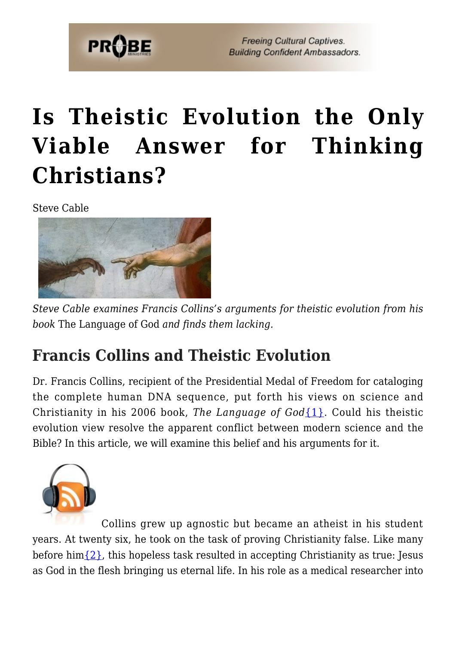

**Freeing Cultural Captives. Building Confident Ambassadors.** 

# **[Is Theistic Evolution the Only](https://probe.org/is-theistic-evolution-the-only-viable-answer-for-thinking-christians/) [Viable Answer for Thinking](https://probe.org/is-theistic-evolution-the-only-viable-answer-for-thinking-christians/) [Christians?](https://probe.org/is-theistic-evolution-the-only-viable-answer-for-thinking-christians/)**

Steve Cable



*Steve Cable examines Francis Collins's arguments for theistic evolution from his book* The Language of God *and finds them lacking.*

### **Francis Collins and Theistic Evolution**

Dr. Francis Collins, recipient of the Presidential Medal of Freedom for cataloging the complete human DNA sequence, put forth his views on science and Christianity in his 2006 book, *The Language of God*[{1}](#page--1-0). Could his theistic evolution view resolve the apparent conflict between modern science and the Bible? In this article, we will examine this belief and his arguments for it.



Collins grew up agnostic but became an atheist in his student years. At twenty six, he took on the task of proving Christianity false. Like many before him $\{2\}$ , this hopeless task resulted in accepting Christianity as true: Jesus as God in the flesh bringing us eternal life. In his role as a medical researcher into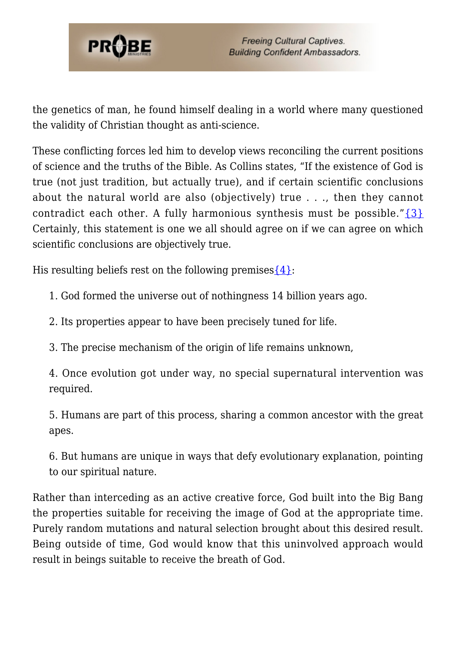

the genetics of man, he found himself dealing in a world where many questioned the validity of Christian thought as anti-science.

These conflicting forces led him to develop views reconciling the current positions of science and the truths of the Bible. As Collins states, "If the existence of God is true (not just tradition, but actually true), and if certain scientific conclusions about the natural world are also (objectively) true . . ., then they cannot contradict each other. A fully harmonious synthesis must be possible." $\{3\}$ Certainly, this statement is one we all should agree on if we can agree on which scientific conclusions are objectively true.

His resulting beliefs rest on the following premises  $\{4\}$ :

- 1. God formed the universe out of nothingness 14 billion years ago.
- 2. Its properties appear to have been precisely tuned for life.
- 3. The precise mechanism of the origin of life remains unknown,

4. Once evolution got under way, no special supernatural intervention was required.

5. Humans are part of this process, sharing a common ancestor with the great apes.

6. But humans are unique in ways that defy evolutionary explanation, pointing to our spiritual nature.

Rather than interceding as an active creative force, God built into the Big Bang the properties suitable for receiving the image of God at the appropriate time. Purely random mutations and natural selection brought about this desired result. Being outside of time, God would know that this uninvolved approach would result in beings suitable to receive the breath of God.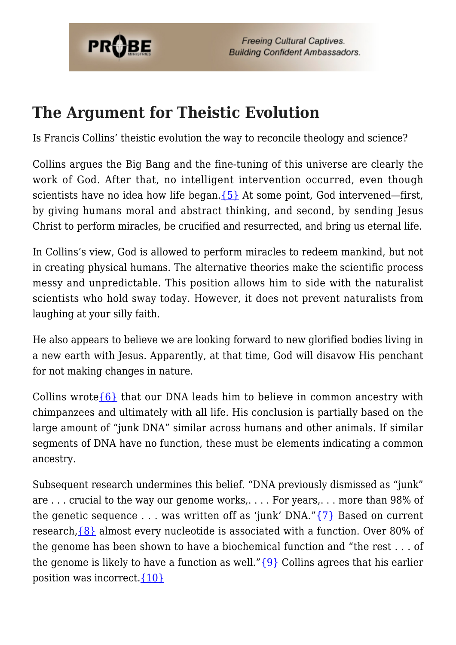

**Freeing Cultural Captives. Building Confident Ambassadors.** 

#### **The Argument for Theistic Evolution**

Is Francis Collins' theistic evolution the way to reconcile theology and science?

Collins argues the Big Bang and the fine-tuning of this universe are clearly the work of God. After that, no intelligent intervention occurred, even though scientists have no idea how life began. ${5}$  At some point, God intervened—first, by giving humans moral and abstract thinking, and second, by sending Jesus Christ to perform miracles, be crucified and resurrected, and bring us eternal life.

In Collins's view, God is allowed to perform miracles to redeem mankind, but not in creating physical humans. The alternative theories make the scientific process messy and unpredictable. This position allows him to side with the naturalist scientists who hold sway today. However, it does not prevent naturalists from laughing at your silly faith.

He also appears to believe we are looking forward to new glorified bodies living in a new earth with Jesus. Apparently, at that time, God will disavow His penchant for not making changes in nature.

Collins wrote  $\{6\}$  that our DNA leads him to believe in common ancestry with chimpanzees and ultimately with all life. His conclusion is partially based on the large amount of "junk DNA" similar across humans and other animals. If similar segments of DNA have no function, these must be elements indicating a common ancestry.

Subsequent research undermines this belief. "DNA previously dismissed as "junk" are . . . crucial to the way our genome works,. . . . For years,. . . more than 98% of the genetic sequence  $\ldots$  was written off as 'junk' DNA." $\{7\}$  Based on current research,[{8}](#page-7-6) almost every nucleotide is associated with a function. Over 80% of the genome has been shown to have a biochemical function and "the rest . . . of the genome is likely to have a function as well." $\{9\}$  Collins agrees that his earlier position was incorrect. $\{10\}$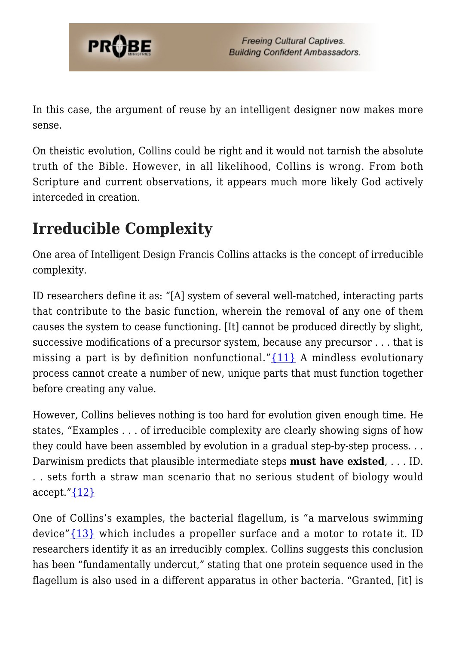

In this case, the argument of reuse by an intelligent designer now makes more sense.

On theistic evolution, Collins could be right and it would not tarnish the absolute truth of the Bible. However, in all likelihood, Collins is wrong. From both Scripture and current observations, it appears much more likely God actively interceded in creation.

### **Irreducible Complexity**

One area of Intelligent Design Francis Collins attacks is the concept of irreducible complexity.

ID researchers define it as: "[A] system of several well-matched, interacting parts that contribute to the basic function, wherein the removal of any one of them causes the system to cease functioning. [It] cannot be produced directly by slight, successive modifications of a precursor system, because any precursor . . . that is missing a part is by definition nonfunctional." $\{11\}$  A mindless evolutionary process cannot create a number of new, unique parts that must function together before creating any value.

However, Collins believes nothing is too hard for evolution given enough time. He states, "Examples . . . of irreducible complexity are clearly showing signs of how they could have been assembled by evolution in a gradual step-by-step process. . . Darwinism predicts that plausible intermediate steps **must have existed**, . . . ID. . . sets forth a straw man scenario that no serious student of biology would accept." $\{12\}$ 

One of Collins's examples, the bacterial flagellum, is "a marvelous swimming device" $\{13\}$  which includes a propeller surface and a motor to rotate it. ID researchers identify it as an irreducibly complex. Collins suggests this conclusion has been "fundamentally undercut," stating that one protein sequence used in the flagellum is also used in a different apparatus in other bacteria. "Granted, [it] is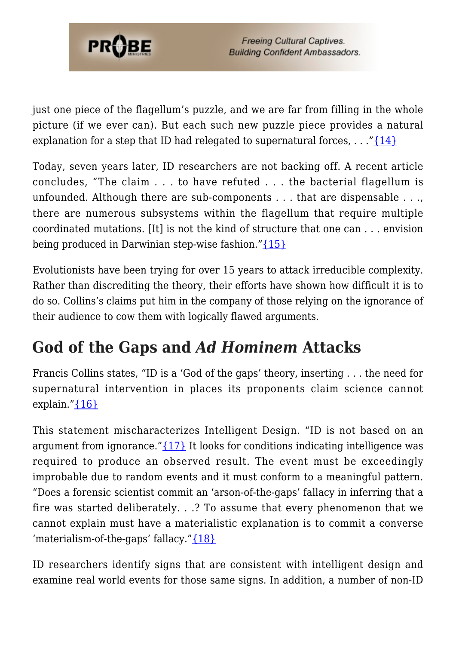

just one piece of the flagellum's puzzle, and we are far from filling in the whole picture (if we ever can). But each such new puzzle piece provides a natural explanation for a step that ID had relegated to supernatural forces,  $\dots$  "[{14}](#page-7-12)

Today, seven years later, ID researchers are not backing off. A recent article concludes, "The claim . . . to have refuted . . . the bacterial flagellum is unfounded. Although there are sub-components . . . that are dispensable . . ., there are numerous subsystems within the flagellum that require multiple coordinated mutations. [It] is not the kind of structure that one can . . . envision being produced in Darwinian step-wise fashion."[{15}](#page-7-13)

Evolutionists have been trying for over 15 years to attack irreducible complexity. Rather than discrediting the theory, their efforts have shown how difficult it is to do so. Collins's claims put him in the company of those relying on the ignorance of their audience to cow them with logically flawed arguments.

### **God of the Gaps and** *Ad Hominem* **Attacks**

Francis Collins states, "ID is a 'God of the gaps' theory, inserting . . . the need for supernatural intervention in places its proponents claim science cannot explain." ${16}$ 

This statement mischaracterizes Intelligent Design. "ID is not based on an argument from ignorance." $\{17\}$  It looks for conditions indicating intelligence was required to produce an observed result. The event must be exceedingly improbable due to random events and it must conform to a meaningful pattern. "Does a forensic scientist commit an 'arson-of-the-gaps' fallacy in inferring that a fire was started deliberately. . .? To assume that every phenomenon that we cannot explain must have a materialistic explanation is to commit a converse 'materialism-of-the-gaps' fallacy."[{18}](#page-8-2)

ID researchers identify signs that are consistent with intelligent design and examine real world events for those same signs. In addition, a number of non-ID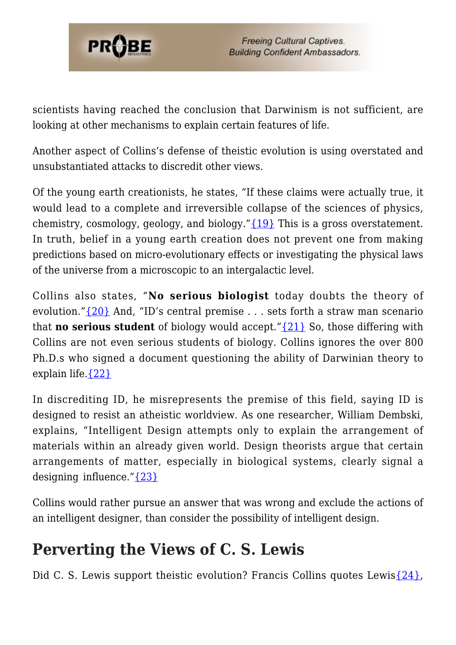

scientists having reached the conclusion that Darwinism is not sufficient, are looking at other mechanisms to explain certain features of life.

Another aspect of Collins's defense of theistic evolution is using overstated and unsubstantiated attacks to discredit other views.

Of the young earth creationists, he states, "If these claims were actually true, it would lead to a complete and irreversible collapse of the sciences of physics, chemistry, cosmology, geology, and biology."[{19}](#page-8-3) This is a gross overstatement. In truth, belief in a young earth creation does not prevent one from making predictions based on micro-evolutionary effects or investigating the physical laws of the universe from a microscopic to an intergalactic level.

Collins also states, "**No serious biologist** today doubts the theory of evolution." $\{20\}$  And, "ID's central premise ... sets forth a straw man scenario that **no serious student** of biology would accept."[{21}](#page-8-5) So, those differing with Collins are not even serious students of biology. Collins ignores the over 800 Ph.D.s who signed a document questioning the ability of Darwinian theory to explain life. $\{22\}$ 

In discrediting ID, he misrepresents the premise of this field, saying ID is designed to resist an atheistic worldview. As one researcher, William Dembski, explains, "Intelligent Design attempts only to explain the arrangement of materials within an already given world. Design theorists argue that certain arrangements of matter, especially in biological systems, clearly signal a designing influence." $\{23\}$ 

Collins would rather pursue an answer that was wrong and exclude the actions of an intelligent designer, than consider the possibility of intelligent design.

#### **Perverting the Views of C. S. Lewis**

Did C. S. Lewis support theistic evolution? Francis Collins quotes Lewis $\{24\}$ ,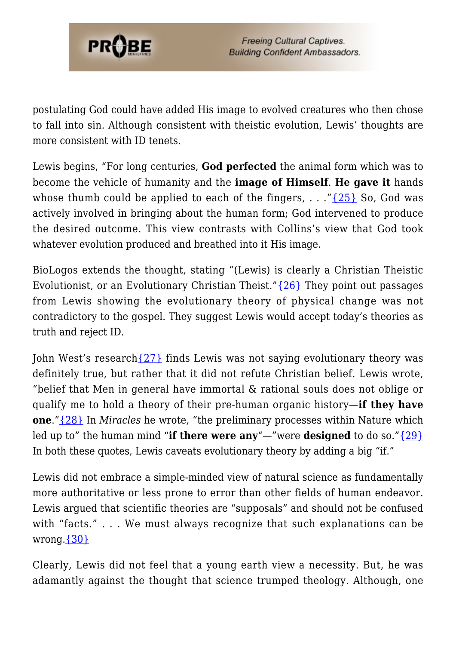

postulating God could have added His image to evolved creatures who then chose to fall into sin. Although consistent with theistic evolution, Lewis' thoughts are more consistent with ID tenets.

Lewis begins, "For long centuries, **God perfected** the animal form which was to become the vehicle of humanity and the **image of Himself**. **He gave it** hands whose thumb could be applied to each of the fingers,  $\ldots$  [{25}](#page-8-9) So, God was actively involved in bringing about the human form; God intervened to produce the desired outcome. This view contrasts with Collins's view that God took whatever evolution produced and breathed into it His image.

BioLogos extends the thought, stating "(Lewis) is clearly a Christian Theistic Evolutionist, or an Evolutionary Christian Theist." $\{26\}$  They point out passages from Lewis showing the evolutionary theory of physical change was not contradictory to the gospel. They suggest Lewis would accept today's theories as truth and reject ID.

John West's research [{27}](#page-8-11) finds Lewis was not saying evolutionary theory was definitely true, but rather that it did not refute Christian belief. Lewis wrote, "belief that Men in general have immortal & rational souls does not oblige or qualify me to hold a theory of their pre-human organic history—**if they have one**."[{28}](#page-8-12) In *Miracles* he wrote, "the preliminary processes within Nature which led up to" the human mind "**if there were any**"—"were **designed** to do so."[{29}](#page-8-13) In both these quotes, Lewis caveats evolutionary theory by adding a big "if."

Lewis did not embrace a simple-minded view of natural science as fundamentally more authoritative or less prone to error than other fields of human endeavor. Lewis argued that scientific theories are "supposals" and should not be confused with "facts." . . . We must always recognize that such explanations can be wrong. $\{30\}$ 

Clearly, Lewis did not feel that a young earth view a necessity. But, he was adamantly against the thought that science trumped theology. Although, one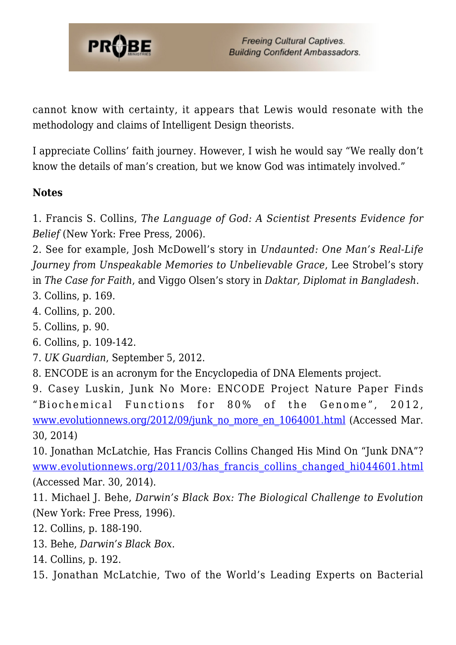

cannot know with certainty, it appears that Lewis would resonate with the methodology and claims of Intelligent Design theorists.

I appreciate Collins' faith journey. However, I wish he would say "We really don't know the details of man's creation, but we know God was intimately involved."

#### **Notes**

1. Francis S. Collins, *The Language of God: A Scientist Presents Evidence for Belief* (New York: Free Press, 2006).

<span id="page-7-0"></span>2. See for example, Josh McDowell's story in *Undaunted: One Man's Real-Life Journey from Unspeakable Memories to Unbelievable Grace*, Lee Strobel's story in *The Case for Faith*, and Viggo Olsen's story in *Daktar, Diplomat in Bangladesh*.

- <span id="page-7-1"></span>3. Collins, p. 169.
- <span id="page-7-2"></span>4. Collins, p. 200.
- <span id="page-7-3"></span>5. Collins, p. 90.
- <span id="page-7-4"></span>6. Collins, p. 109-142.
- <span id="page-7-5"></span>7. *UK Guardian*, September 5, 2012.
- <span id="page-7-6"></span>8. ENCODE is an acronym for the Encyclopedia of DNA Elements project.

<span id="page-7-7"></span>9. Casey Luskin, Junk No More: ENCODE Project Nature Paper Finds "Biochemical Functions for 80% of the Genome", 2012, [www.evolutionnews.org/2012/09/junk\\_no\\_more\\_en\\_1064001.html](http://www.evolutionnews.org/2012/09/junk_no_more_en_1064001.html) (Accessed Mar. 30, 2014)

<span id="page-7-8"></span>10. Jonathan McLatchie, Has Francis Collins Changed His Mind On "Junk DNA"? www.evolutionnews.org/2011/03/has francis collins changed hi044601.html (Accessed Mar. 30, 2014).

<span id="page-7-9"></span>11. Michael J. Behe, *Darwin's Black Box: The Biological Challenge to Evolution* (New York: Free Press, 1996).

- <span id="page-7-10"></span>12. Collins, p. 188-190.
- <span id="page-7-11"></span>13. Behe, *Darwin's Black Box.*
- <span id="page-7-12"></span>14. Collins, p. 192.
- <span id="page-7-13"></span>15. Jonathan McLatchie, Two of the World's Leading Experts on Bacterial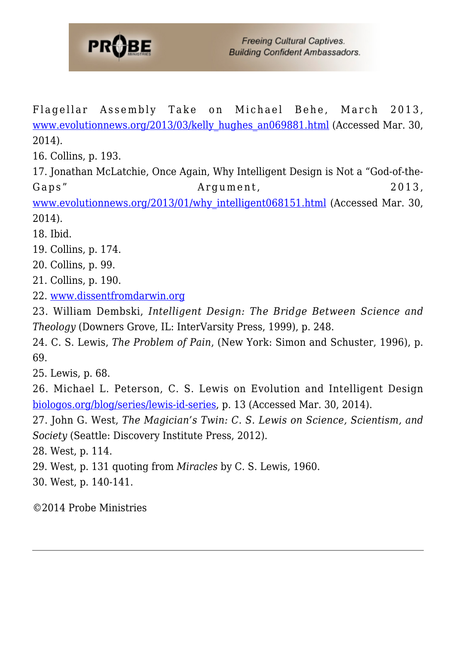

Flagellar Assembly Take on Michael Behe, March 2013, [www.evolutionnews.org/2013/03/kelly\\_hughes\\_an069881.html](http://www.evolutionnews.org/2013/03/kelly_hughes_an069881.html) (Accessed Mar. 30, 2014).

<span id="page-8-0"></span>16. Collins, p. 193.

<span id="page-8-1"></span>17. Jonathan McLatchie, Once Again, Why Intelligent Design is Not a "God-of-the-Gaps" Argument, 2013,

[www.evolutionnews.org/2013/01/why\\_intelligent068151.html](http://www.evolutionnews.org/2013/01/why_intelligent068151.html) (Accessed Mar. 30, 2014).

<span id="page-8-2"></span>18. Ibid.

- <span id="page-8-3"></span>19. Collins, p. 174.
- <span id="page-8-4"></span>20. Collins, p. 99.
- <span id="page-8-5"></span>21. Collins, p. 190.
- <span id="page-8-6"></span>22. [www.dissentfromdarwin.org](http://www.dissentfromdarwin.org)

<span id="page-8-7"></span>23. William Dembski, *Intelligent Design: The Bridge Between Science and Theology* (Downers Grove, IL: InterVarsity Press, 1999), p. 248.

<span id="page-8-8"></span>24. C. S. Lewis, *The Problem of Pain*, (New York: Simon and Schuster, 1996), p. 69.

<span id="page-8-9"></span>25. Lewis, p. 68.

<span id="page-8-10"></span>26. Michael L. Peterson, C. S. Lewis on Evolution and Intelligent Design [biologos.org/blog/series/lewis-id-series](http://biologos.org/blog/series/lewis-id-series), p. 13 (Accessed Mar. 30, 2014).

<span id="page-8-11"></span>27. John G. West, *The Magician's Twin: C. S. Lewis on Science, Scientism, and Society* (Seattle: Discovery Institute Press, 2012).

<span id="page-8-12"></span>28. West, p. 114.

<span id="page-8-13"></span>29. West, p. 131 quoting from *Miracles* by C. S. Lewis, 1960.

<span id="page-8-14"></span>30. West, p. 140-141.

©2014 Probe Ministries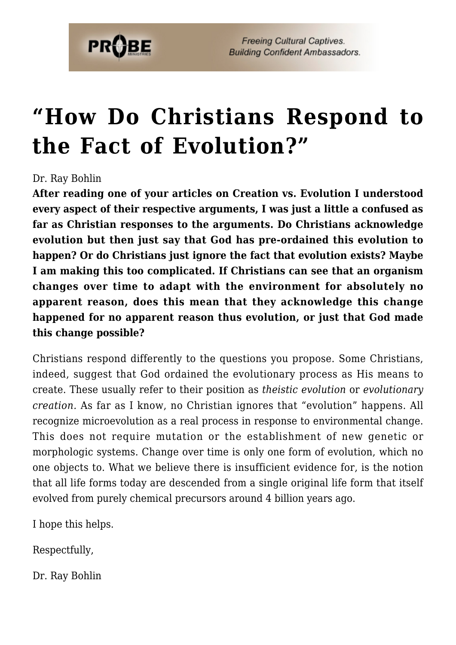

**Freeing Cultural Captives. Building Confident Ambassadors.** 

## **["How Do Christians Respond to](https://probe.org/how-do-christians-respond-to-the-fact-of-evolution/) [the Fact of Evolution?"](https://probe.org/how-do-christians-respond-to-the-fact-of-evolution/)**

#### Dr. Ray Bohlin

**After reading one of your articles on Creation vs. Evolution I understood every aspect of their respective arguments, I was just a little a confused as far as Christian responses to the arguments. Do Christians acknowledge evolution but then just say that God has pre-ordained this evolution to happen? Or do Christians just ignore the fact that evolution exists? Maybe I am making this too complicated. If Christians can see that an organism changes over time to adapt with the environment for absolutely no apparent reason, does this mean that they acknowledge this change happened for no apparent reason thus evolution, or just that God made this change possible?**

Christians respond differently to the questions you propose. Some Christians, indeed, suggest that God ordained the evolutionary process as His means to create. These usually refer to their position as *theistic evolution* or *evolutionary creation.* As far as I know, no Christian ignores that "evolution" happens. All recognize microevolution as a real process in response to environmental change. This does not require mutation or the establishment of new genetic or morphologic systems. Change over time is only one form of evolution, which no one objects to. What we believe there is insufficient evidence for, is the notion that all life forms today are descended from a single original life form that itself evolved from purely chemical precursors around 4 billion years ago.

I hope this helps.

Respectfully,

Dr. Ray Bohlin